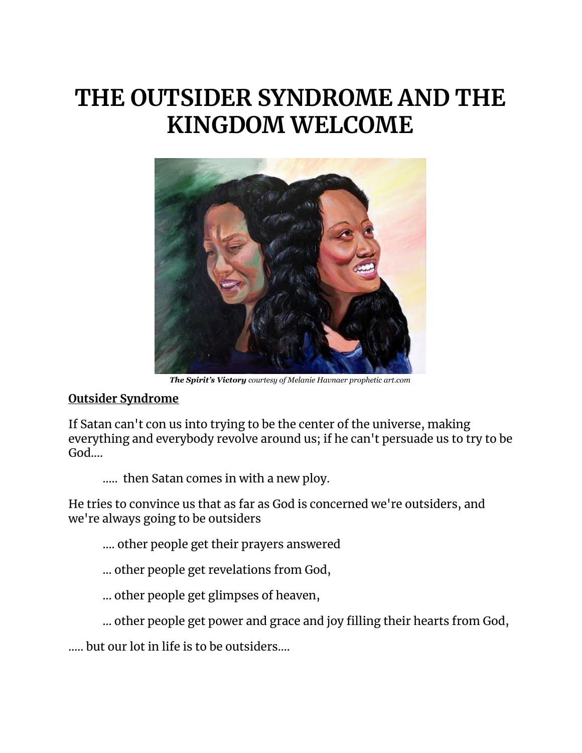# **THE OUTSIDER SYNDROME AND THE KINGDOM WELCOME**



*The Spirit's Victory courtesy of Melanie Havnaer prophetic art.com*

# **Outsider Syndrome**

If Satan can't con us into trying to be the center of the universe, making everything and everybody revolve around us; if he can't persuade us to try to be God….

….. then Satan comes in with a new ploy.

He tries to convince us that as far as God is concerned we're outsiders, and we're always going to be outsiders

- .... other people get their prayers answered
- ... other people get revelations from God,
- … other people get glimpses of heaven,
- … other people get power and grace and joy filling their hearts from God,

….. but our lot in life is to be outsiders....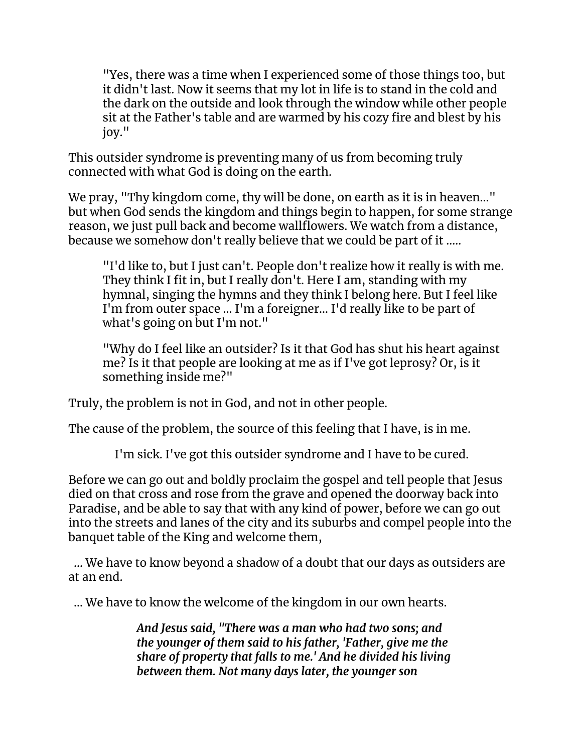"Yes, there was a time when I experienced some of those things too, but it didn't last. Now it seems that my lot in life is to stand in the cold and the dark on the outside and look through the window while other people sit at the Father's table and are warmed by his cozy fire and blest by his joy."

This outsider syndrome is preventing many of us from becoming truly connected with what God is doing on the earth.

We pray, "Thy kingdom come, thy will be done, on earth as it is in heaven..." but when God sends the kingdom and things begin to happen, for some strange reason, we just pull back and become wallflowers. We watch from a distance, because we somehow don't really believe that we could be part of it .....

"I'd like to, but I just can't. People don't realize how it really is with me. They think I fit in, but I really don't. Here I am, standing with my hymnal, singing the hymns and they think I belong here. But I feel like I'm from outer space ... I'm a foreigner… I'd really like to be part of what's going on but I'm not."

"Why do I feel like an outsider? Is it that God has shut his heart against me? Is it that people are looking at me as if I've got leprosy? Or, is it something inside me?"

Truly, the problem is not in God, and not in other people.

The cause of the problem, the source of this feeling that I have, is in me.

I'm sick. I've got this outsider syndrome and I have to be cured.

Before we can go out and boldly proclaim the gospel and tell people that Jesus died on that cross and rose from the grave and opened the doorway back into Paradise, and be able to say that with any kind of power, before we can go out into the streets and lanes of the city and its suburbs and compel people into the banquet table of the King and welcome them,

… We have to know beyond a shadow of a doubt that our days as outsiders are at an end.

… We have to know the welcome of the kingdom in our own hearts.

*And Jesus said, "There was a man who had two sons; and the younger of them said to his father, 'Father, give me the share of property that falls to me.' And he divided his living between them. Not many days later, the younger son*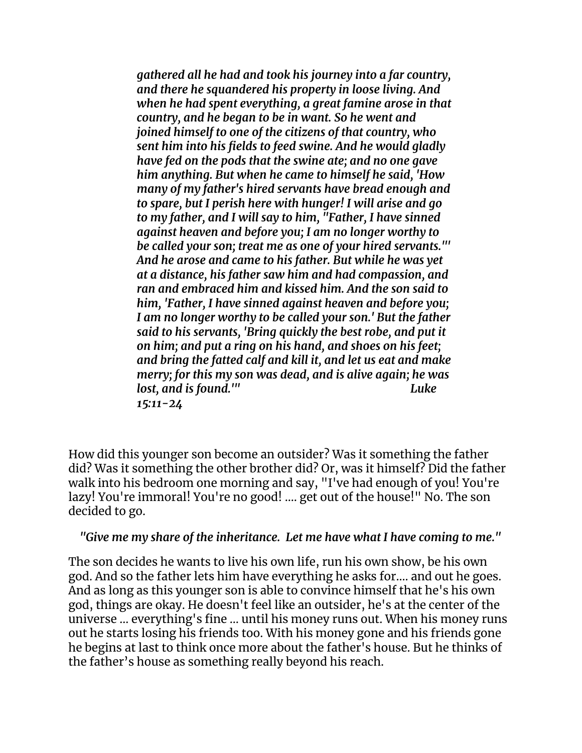*gathered all he had and took his journey into a far country, and there he squandered his property in loose living. And when he had spent everything, a great famine arose in that country, and he began to be in want. So he went and joined himself to one of the citizens of that country, who sent him into his fields to feed swine. And he would gladly have fed on the pods that the swine ate; and no one gave him anything. But when he came to himself he said, 'How many of my father's hired servants have bread enough and to spare, but I perish here with hunger! I will arise and go to my father, and I will say to him, "Father, I have sinned against heaven and before you; I am no longer worthy to be called your son; treat me as one of your hired servants."' And he arose and came to his father. But while he was yet at a distance, his father saw him and had compassion, and ran and embraced him and kissed him. And the son said to him, 'Father, I have sinned against heaven and before you; I am no longer worthy to be called your son.' But the father said to his servants, 'Bring quickly the best robe, and put it on him; and put a ring on his hand, and shoes on his feet; and bring the fatted calf and kill it, and let us eat and make merry; for this my son was dead, and is alive again; he was lost, and is found.'" Luke 15:11-24*

How did this younger son become an outsider? Was it something the father did? Was it something the other brother did? Or, was it himself? Did the father walk into his bedroom one morning and say, "I've had enough of you! You're lazy! You're immoral! You're no good! .... get out of the house!" No. The son decided to go.

### *"Give me my share of the inheritance. Let me have what I have coming to me."*

The son decides he wants to live his own life, run his own show, be his own god. And so the father lets him have everything he asks for.... and out he goes. And as long as this younger son is able to convince himself that he's his own god, things are okay. He doesn't feel like an outsider, he's at the center of the universe ... everything's fine ... until his money runs out. When his money runs out he starts losing his friends too. With his money gone and his friends gone he begins at last to think once more about the father's house. But he thinks of the father's house as something really beyond his reach.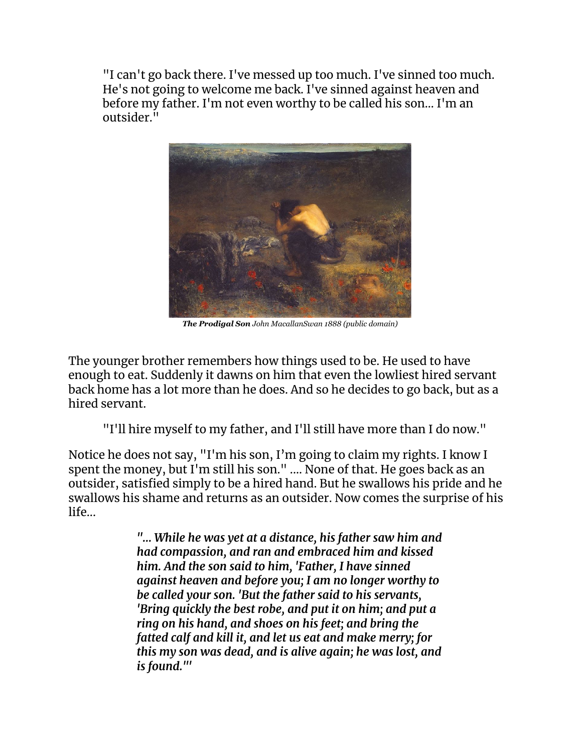"I can't go back there. I've messed up too much. I've sinned too much. He's not going to welcome me back. I've sinned against heaven and before my father. I'm not even worthy to be called his son… I'm an outsider."



*The Prodigal Son John MacallanSwan 1888 (public domain)*

The younger brother remembers how things used to be. He used to have enough to eat. Suddenly it dawns on him that even the lowliest hired servant back home has a lot more than he does. And so he decides to go back, but as a hired servant.

"I'll hire myself to my father, and I'll still have more than I do now."

Notice he does not say, "I'm his son, I'm going to claim my rights. I know I spent the money, but I'm still his son." .... None of that. He goes back as an outsider, satisfied simply to be a hired hand. But he swallows his pride and he swallows his shame and returns as an outsider. Now comes the surprise of his life...

> *"... While he was yet at a distance, his father saw him and had compassion, and ran and embraced him and kissed him. And the son said to him, 'Father, I have sinned against heaven and before you; I am no longer worthy to be called your son. 'But the father said to his servants, 'Bring quickly the best robe, and put it on him; and put a ring on his hand, and shoes on his feet; and bring the fatted calf and kill it, and let us eat and make merry; for this my son was dead, and is alive again; he was lost, and is found."'*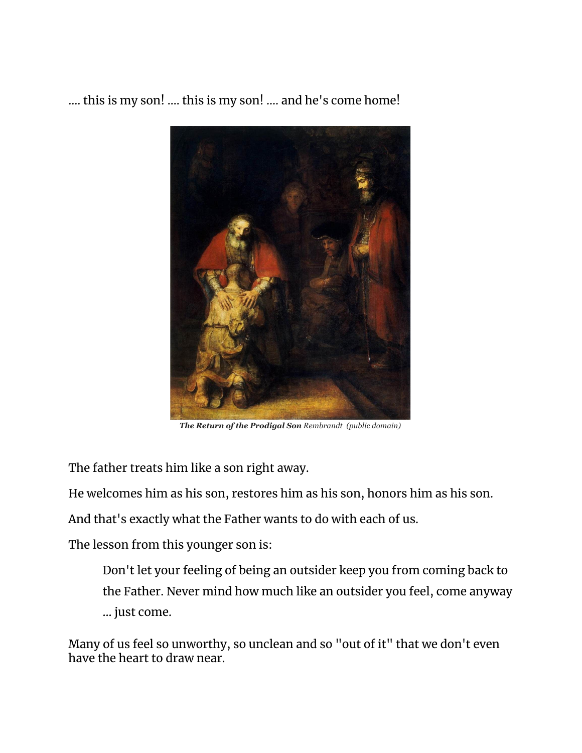.... this is my son! .... this is my son! .... and he's come home!



*The Return of the Prodigal Son Rembrandt (public domain)*

The father treats him like a son right away.

He welcomes him as his son, restores him as his son, honors him as his son.

And that's exactly what the Father wants to do with each of us.

The lesson from this younger son is:

Don't let your feeling of being an outsider keep you from coming back to the Father. Never mind how much like an outsider you feel, come anyway ... just come.

Many of us feel so unworthy, so unclean and so "out of it" that we don't even have the heart to draw near.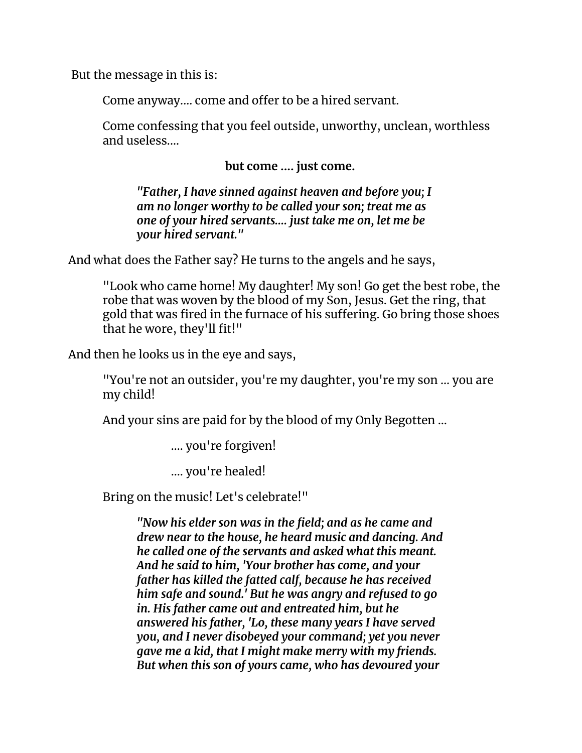But the message in this is:

Come anyway.... come and offer to be a hired servant.

Come confessing that you feel outside, unworthy, unclean, worthless and useless....

**but come .... just come.**

*"Father, I have sinned against heaven and before you; I am no longer worthy to be called your son; treat me as one of your hired servants.... just take me on, let me be your hired servant."*

And what does the Father say? He turns to the angels and he says,

"Look who came home! My daughter! My son! Go get the best robe, the robe that was woven by the blood of my Son, Jesus. Get the ring, that gold that was fired in the furnace of his suffering. Go bring those shoes that he wore, they'll fit!"

And then he looks us in the eye and says,

"You're not an outsider, you're my daughter, you're my son ... you are my child!

And your sins are paid for by the blood of my Only Begotten ...

…. you're forgiven!

.... you're healed!

Bring on the music! Let's celebrate!"

*"Now his elder son was in the field; and as he came and drew near to the house, he heard music and dancing. And he called one of the servants and asked what this meant. And he said to him, 'Your brother has come, and your father has killed the fatted calf, because he has received him safe and sound.' But he was angry and refused to go in. His father came out and entreated him, but he answered his father, 'Lo, these many years I have served you, and I never disobeyed your command; yet you never gave me a kid, that I might make merry with my friends. But when this son of yours came, who has devoured your*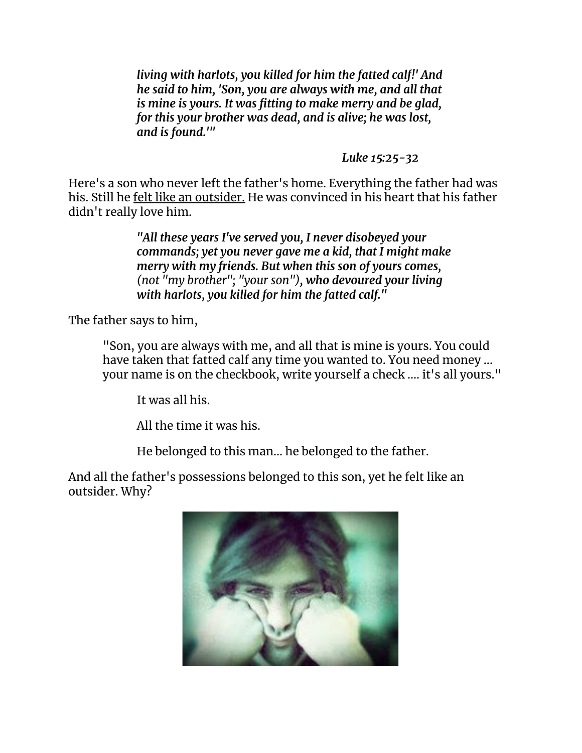*living with harlots, you killed for him the fatted calf!' And he said to him, 'Son, you are always with me, and all that is mine is yours. It was fitting to make merry and be glad, for this your brother was dead, and is alive; he was lost, and is found.'"*

*Luke 15:25-32*

Here's a son who never left the father's home. Everything the father had was his. Still he felt like an outsider. He was convinced in his heart that his father didn't really love him.

> *"All these years I've served you, I never disobeyed your commands; yet you never gave me a kid, that I might make merry with my friends. But when this son of yours comes, (not "my brother"; "your son"), who devoured your living with harlots, you killed for him the fatted calf."*

The father says to him,

"Son, you are always with me, and all that is mine is yours. You could have taken that fatted calf any time you wanted to. You need money ... your name is on the checkbook, write yourself a check .... it's all yours."

It was all his.

All the time it was his.

He belonged to this man... he belonged to the father.

And all the father's possessions belonged to this son, yet he felt like an outsider. Why?

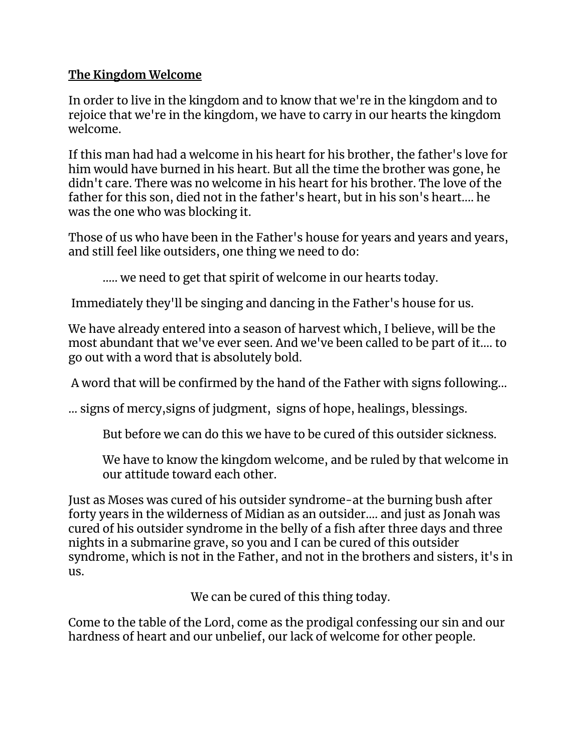# **The Kingdom Welcome**

In order to live in the kingdom and to know that we're in the kingdom and to rejoice that we're in the kingdom, we have to carry in our hearts the kingdom welcome.

If this man had had a welcome in his heart for his brother, the father's love for him would have burned in his heart. But all the time the brother was gone, he didn't care. There was no welcome in his heart for his brother. The love of the father for this son, died not in the father's heart, but in his son's heart.... he was the one who was blocking it.

Those of us who have been in the Father's house for years and years and years, and still feel like outsiders, one thing we need to do:

….. we need to get that spirit of welcome in our hearts today.

Immediately they'll be singing and dancing in the Father's house for us.

We have already entered into a season of harvest which, I believe, will be the most abundant that we've ever seen. And we've been called to be part of it.... to go out with a word that is absolutely bold.

A word that will be confirmed by the hand of the Father with signs following...

… signs of mercy,signs of judgment, signs of hope, healings, blessings.

But before we can do this we have to be cured of this outsider sickness.

We have to know the kingdom welcome, and be ruled by that welcome in our attitude toward each other.

Just as Moses was cured of his outsider syndrome-at the burning bush after forty years in the wilderness of Midian as an outsider.... and just as Jonah was cured of his outsider syndrome in the belly of a fish after three days and three nights in a submarine grave, so you and I can be cured of this outsider syndrome, which is not in the Father, and not in the brothers and sisters, it's in us.

We can be cured of this thing today.

Come to the table of the Lord, come as the prodigal confessing our sin and our hardness of heart and our unbelief, our lack of welcome for other people.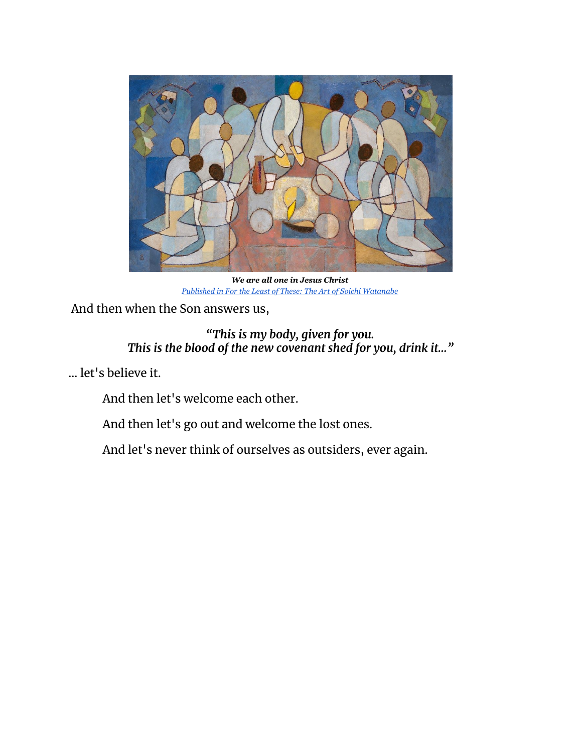

*We are all one in Jesus Christ Published in For the Least of These: The Art of Soichi [Watanabe](https://www.amazon.com/Least-These-Soichi-Watanabe-Judeo-Christian/dp/B00DHRJPIG/ref=sr_1_1?keywords=Soichi+Watanabe&qid=1583240562&sr=8-1)*

And then when the Son answers us,

## *"This is my body, given for you. This is the blood of the new covenant shed for you, drink it…"*

… let's believe it.

And then let's welcome each other.

And then let's go out and welcome the lost ones.

And let's never think of ourselves as outsiders, ever again.